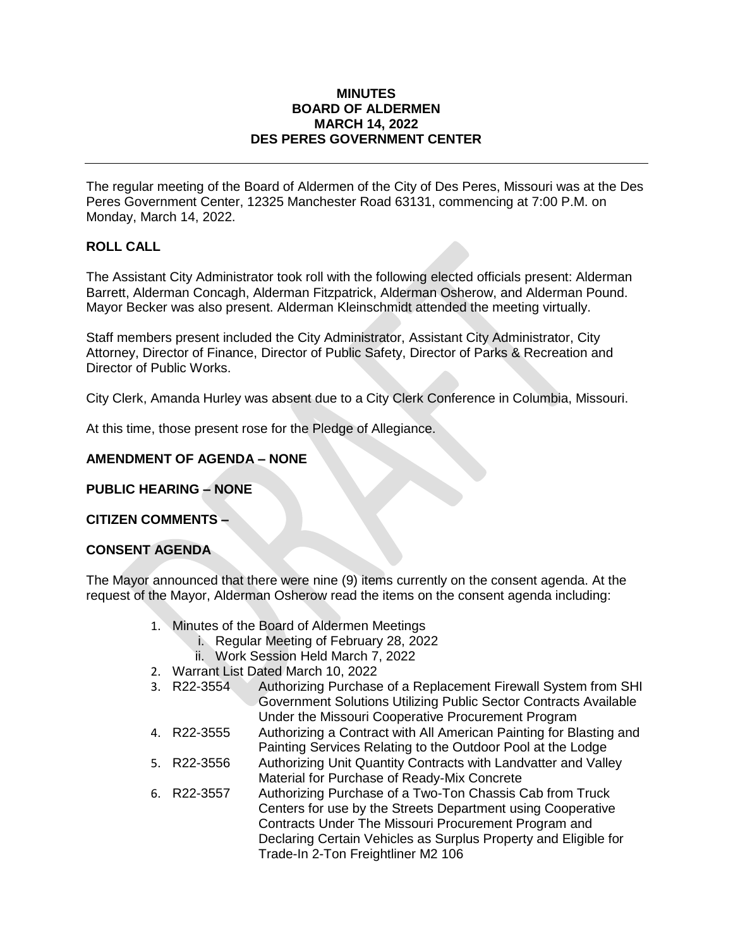#### **MINUTES BOARD OF ALDERMEN MARCH 14, 2022 DES PERES GOVERNMENT CENTER**

The regular meeting of the Board of Aldermen of the City of Des Peres, Missouri was at the Des Peres Government Center, 12325 Manchester Road 63131, commencing at 7:00 P.M. on Monday, March 14, 2022.

# **ROLL CALL**

The Assistant City Administrator took roll with the following elected officials present: Alderman Barrett, Alderman Concagh, Alderman Fitzpatrick, Alderman Osherow, and Alderman Pound. Mayor Becker was also present. Alderman Kleinschmidt attended the meeting virtually.

Staff members present included the City Administrator, Assistant City Administrator, City Attorney, Director of Finance, Director of Public Safety, Director of Parks & Recreation and Director of Public Works.

City Clerk, Amanda Hurley was absent due to a City Clerk Conference in Columbia, Missouri.

At this time, those present rose for the Pledge of Allegiance.

## **AMENDMENT OF AGENDA – NONE**

**PUBLIC HEARING – NONE**

#### **CITIZEN COMMENTS –**

#### **CONSENT AGENDA**

The Mayor announced that there were nine (9) items currently on the consent agenda. At the request of the Mayor, Alderman Osherow read the items on the consent agenda including:

- 1. Minutes of the Board of Aldermen Meetings
	- i. Regular Meeting of February 28, 2022
	- ii. Work Session Held March 7, 2022
- 2. Warrant List Dated March 10, 2022
- 3. R22-3554 Authorizing Purchase of a Replacement Firewall System from SHI Government Solutions Utilizing Public Sector Contracts Available Under the Missouri Cooperative Procurement Program
- 4. R22-3555 Authorizing a Contract with All American Painting for Blasting and Painting Services Relating to the Outdoor Pool at the Lodge
- 5. R22-3556 Authorizing Unit Quantity Contracts with Landvatter and Valley Material for Purchase of Ready-Mix Concrete
- 6. R22-3557 Authorizing Purchase of a Two-Ton Chassis Cab from Truck Centers for use by the Streets Department using Cooperative Contracts Under The Missouri Procurement Program and Declaring Certain Vehicles as Surplus Property and Eligible for Trade-In 2-Ton Freightliner M2 106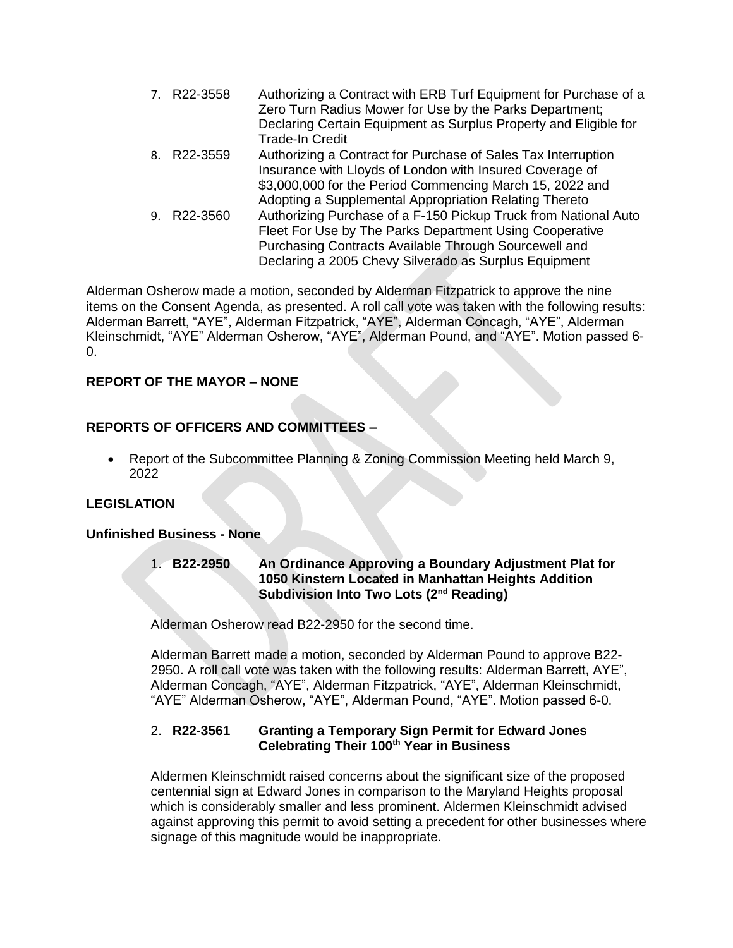| Authorizing a Contract with ERB Turf Equipment for Purchase of a<br>Zero Turn Radius Mower for Use by the Parks Department; |
|-----------------------------------------------------------------------------------------------------------------------------|
| Declaring Certain Equipment as Surplus Property and Eligible for                                                            |
| <b>Trade-In Credit</b>                                                                                                      |
| Authorizing a Contract for Purchase of Sales Tax Interruption                                                               |
| Insurance with Lloyds of London with Insured Coverage of                                                                    |
| \$3,000,000 for the Period Commencing March 15, 2022 and                                                                    |
| Adopting a Supplemental Appropriation Relating Thereto                                                                      |
| Authorizing Purchase of a F-150 Pickup Truck from National Auto                                                             |
| Fleet For Use by The Parks Department Using Cooperative                                                                     |
| Purchasing Contracts Available Through Sourcewell and                                                                       |
| Declaring a 2005 Chevy Silverado as Surplus Equipment                                                                       |
| 7. R22-3558<br>8. R22-3559<br>9. R22-3560                                                                                   |

Alderman Osherow made a motion, seconded by Alderman Fitzpatrick to approve the nine items on the Consent Agenda, as presented. A roll call vote was taken with the following results: Alderman Barrett, "AYE", Alderman Fitzpatrick, "AYE", Alderman Concagh, "AYE", Alderman Kleinschmidt, "AYE" Alderman Osherow, "AYE", Alderman Pound, and "AYE". Motion passed 6-  $\Omega$ .

# **REPORT OF THE MAYOR – NONE**

# **REPORTS OF OFFICERS AND COMMITTEES –**

 Report of the Subcommittee Planning & Zoning Commission Meeting held March 9, 2022

## **LEGISLATION**

## **Unfinished Business - None**

#### 1. **B22-2950 An Ordinance Approving a Boundary Adjustment Plat for 1050 Kinstern Located in Manhattan Heights Addition Subdivision Into Two Lots (2nd Reading)**

Alderman Osherow read B22-2950 for the second time.

Alderman Barrett made a motion, seconded by Alderman Pound to approve B22- 2950. A roll call vote was taken with the following results: Alderman Barrett, AYE", Alderman Concagh, "AYE", Alderman Fitzpatrick, "AYE", Alderman Kleinschmidt, "AYE" Alderman Osherow, "AYE", Alderman Pound, "AYE". Motion passed 6-0.

#### 2. **R22-3561 Granting a Temporary Sign Permit for Edward Jones Celebrating Their 100th Year in Business**

Aldermen Kleinschmidt raised concerns about the significant size of the proposed centennial sign at Edward Jones in comparison to the Maryland Heights proposal which is considerably smaller and less prominent. Aldermen Kleinschmidt advised against approving this permit to avoid setting a precedent for other businesses where signage of this magnitude would be inappropriate.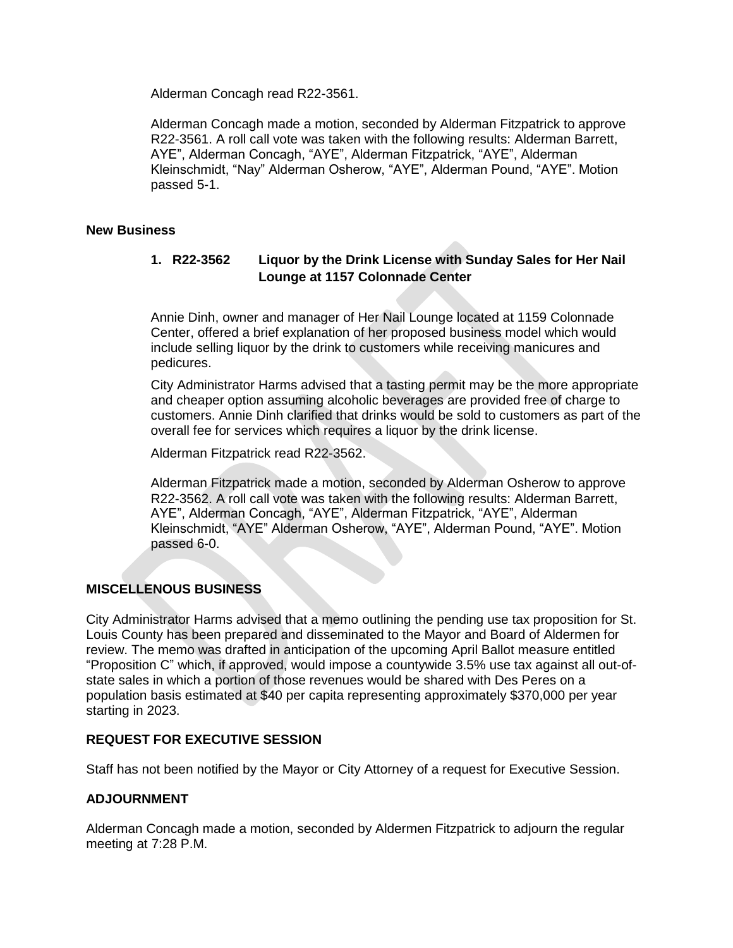Alderman Concagh read R22-3561.

Alderman Concagh made a motion, seconded by Alderman Fitzpatrick to approve R22-3561. A roll call vote was taken with the following results: Alderman Barrett, AYE", Alderman Concagh, "AYE", Alderman Fitzpatrick, "AYE", Alderman Kleinschmidt, "Nay" Alderman Osherow, "AYE", Alderman Pound, "AYE". Motion passed 5-1.

#### **New Business**

## **1. R22-3562 Liquor by the Drink License with Sunday Sales for Her Nail Lounge at 1157 Colonnade Center**

Annie Dinh, owner and manager of Her Nail Lounge located at 1159 Colonnade Center, offered a brief explanation of her proposed business model which would include selling liquor by the drink to customers while receiving manicures and pedicures.

City Administrator Harms advised that a tasting permit may be the more appropriate and cheaper option assuming alcoholic beverages are provided free of charge to customers. Annie Dinh clarified that drinks would be sold to customers as part of the overall fee for services which requires a liquor by the drink license.

Alderman Fitzpatrick read R22-3562.

Alderman Fitzpatrick made a motion, seconded by Alderman Osherow to approve R22-3562. A roll call vote was taken with the following results: Alderman Barrett, AYE", Alderman Concagh, "AYE", Alderman Fitzpatrick, "AYE", Alderman Kleinschmidt, "AYE" Alderman Osherow, "AYE", Alderman Pound, "AYE". Motion passed 6-0.

## **MISCELLENOUS BUSINESS**

City Administrator Harms advised that a memo outlining the pending use tax proposition for St. Louis County has been prepared and disseminated to the Mayor and Board of Aldermen for review. The memo was drafted in anticipation of the upcoming April Ballot measure entitled "Proposition C" which, if approved, would impose a countywide 3.5% use tax against all out-ofstate sales in which a portion of those revenues would be shared with Des Peres on a population basis estimated at \$40 per capita representing approximately \$370,000 per year starting in 2023.

## **REQUEST FOR EXECUTIVE SESSION**

Staff has not been notified by the Mayor or City Attorney of a request for Executive Session.

## **ADJOURNMENT**

Alderman Concagh made a motion, seconded by Aldermen Fitzpatrick to adjourn the regular meeting at 7:28 P.M.